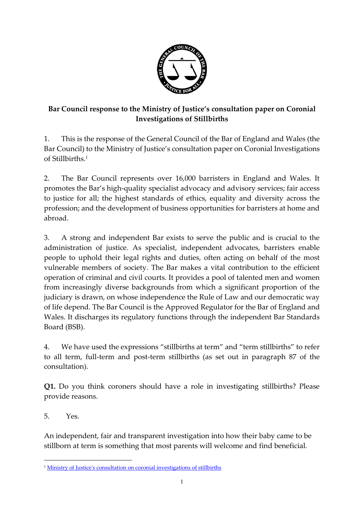

## **Bar Council response to the Ministry of Justice's consultation paper on Coronial Investigations of Stillbirths**

1. This is the response of the General Council of the Bar of England and Wales (the Bar Council) to the Ministry of Justice's consultation paper on Coronial Investigations of Stillbirths. 1

2. The Bar Council represents over 16,000 barristers in England and Wales. It promotes the Bar's high-quality specialist advocacy and advisory services; fair access to justice for all; the highest standards of ethics, equality and diversity across the profession; and the development of business opportunities for barristers at home and abroad.

3. A strong and independent Bar exists to serve the public and is crucial to the administration of justice. As specialist, independent advocates, barristers enable people to uphold their legal rights and duties, often acting on behalf of the most vulnerable members of society. The Bar makes a vital contribution to the efficient operation of criminal and civil courts. It provides a pool of talented men and women from increasingly diverse backgrounds from which a significant proportion of the judiciary is drawn, on whose independence the Rule of Law and our democratic way of life depend. The Bar Council is the Approved Regulator for the Bar of England and Wales. It discharges its regulatory functions through the independent Bar Standards Board (BSB).

4. We have used the expressions "stillbirths at term" and "term stillbirths" to refer to all term, full-term and post-term stillbirths (as set out in paragraph 87 of the consultation).

**Q1.** Do you think coroners should have a role in investigating stillbirths? Please provide reasons.

5. Yes.

1

An independent, fair and transparent investigation into how their baby came to be stillborn at term is something that most parents will welcome and find beneficial.

<sup>1</sup> [Ministry of Justice's consultation on coronial investigations of stillbirths](https://consult.justice.gov.uk/digital-communications/coronial-investigations-of-stillbirths/supporting_documents/Consultation%20on%20coronial%20investigations%20of%20stillbirths%20web.pdf)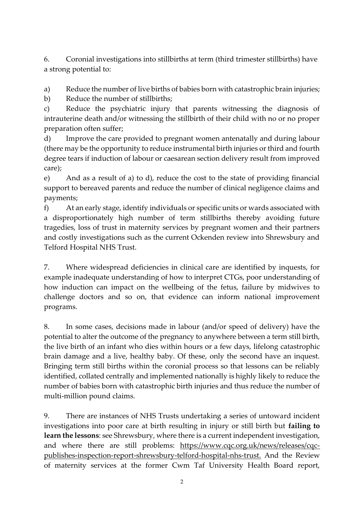6. Coronial investigations into stillbirths at term (third trimester stillbirths) have a strong potential to:

a) Reduce the number of live births of babies born with catastrophic brain injuries;

b) Reduce the number of stillbirths;

c) Reduce the psychiatric injury that parents witnessing the diagnosis of intrauterine death and/or witnessing the stillbirth of their child with no or no proper preparation often suffer;

d) Improve the care provided to pregnant women antenatally and during labour (there may be the opportunity to reduce instrumental birth injuries or third and fourth degree tears if induction of labour or caesarean section delivery result from improved care);

e) And as a result of a) to d), reduce the cost to the state of providing financial support to bereaved parents and reduce the number of clinical negligence claims and payments;

f) At an early stage, identify individuals or specific units or wards associated with a disproportionately high number of term stillbirths thereby avoiding future tragedies, loss of trust in maternity services by pregnant women and their partners and costly investigations such as the current Ockenden review into Shrewsbury and Telford Hospital NHS Trust.

7. Where widespread deficiencies in clinical care are identified by inquests, for example inadequate understanding of how to interpret CTGs, poor understanding of how induction can impact on the wellbeing of the fetus, failure by midwives to challenge doctors and so on, that evidence can inform national improvement programs.

8. In some cases, decisions made in labour (and/or speed of delivery) have the potential to alter the outcome of the pregnancy to anywhere between a term still birth, the live birth of an infant who dies within hours or a few days, lifelong catastrophic brain damage and a live, healthy baby. Of these, only the second have an inquest. Bringing term still births within the coronial process so that lessons can be reliably identified, collated centrally and implemented nationally is highly likely to reduce the number of babies born with catastrophic birth injuries and thus reduce the number of multi-million pound claims.

9. There are instances of NHS Trusts undertaking a series of untoward incident investigations into poor care at birth resulting in injury or still birth but **failing to learn the lessons**: see Shrewsbury, where there is a current independent investigation, and where there are still problems: [https://www.cqc.org.uk/news/releases/cqc](https://www.cqc.org.uk/news/releases/cqc-publishes-inspection-report-shrewsbury-telford-hospital-nhs-trust)[publishes-inspection-report-shrewsbury-telford-hospital-nhs-trust.](https://www.cqc.org.uk/news/releases/cqc-publishes-inspection-report-shrewsbury-telford-hospital-nhs-trust) And the Review of maternity services at the former Cwm Taf University Health Board report,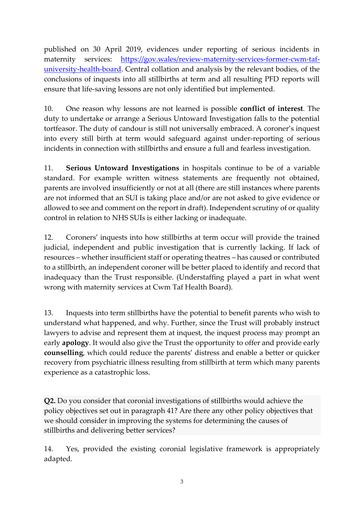published on 30 April 2019, evidences under reporting of serious incidents in maternity services: [https://gov.wales/review-maternity-services-former-cwm-taf](https://gov.wales/review-maternity-services-former-cwm-taf-university-health-board)[university-health-board.](https://gov.wales/review-maternity-services-former-cwm-taf-university-health-board) Central collation and analysis by the relevant bodies, of the conclusions of inquests into all stillbirths at term and all resulting PFD reports will ensure that life-saving lessons are not only identified but implemented.

10. One reason why lessons are not learned is possible **conflict of interest**. The duty to undertake or arrange a Serious Untoward Investigation falls to the potential tortfeasor. The duty of candour is still not universally embraced. A coroner's inquest into every still birth at term would safeguard against under-reporting of serious incidents in connection with stillbirths and ensure a full and fearless investigation.

11. **Serious Untoward Investigations** in hospitals continue to be of a variable standard. For example written witness statements are frequently not obtained, parents are involved insufficiently or not at all (there are still instances where parents are not informed that an SUI is taking place and/or are not asked to give evidence or allowed to see and comment on the report in draft). Independent scrutiny of or quality control in relation to NHS SUIs is either lacking or inadequate.

12. Coroners' inquests into how stillbirths at term occur will provide the trained judicial, independent and public investigation that is currently lacking. If lack of resources – whether insufficient staff or operating theatres – has caused or contributed to a stillbirth, an independent coroner will be better placed to identify and record that inadequacy than the Trust responsible. (Understaffing played a part in what went wrong with maternity services at Cwm Taf Health Board).

13. Inquests into term stillbirths have the potential to benefit parents who wish to understand what happened, and why. Further, since the Trust will probably instruct lawyers to advise and represent them at inquest, the inquest process may prompt an early **apology**. It would also give the Trust the opportunity to offer and provide early **counselling**, which could reduce the parents' distress and enable a better or quicker recovery from psychiatric illness resulting from stillbirth at term which many parents experience as a catastrophic loss.

**Q2.** Do you consider that coronial investigations of stillbirths would achieve the policy objectives set out in paragraph 41? Are there any other policy objectives that we should consider in improving the systems for determining the causes of stillbirths and delivering better services?

14. Yes, provided the existing coronial legislative framework is appropriately adapted.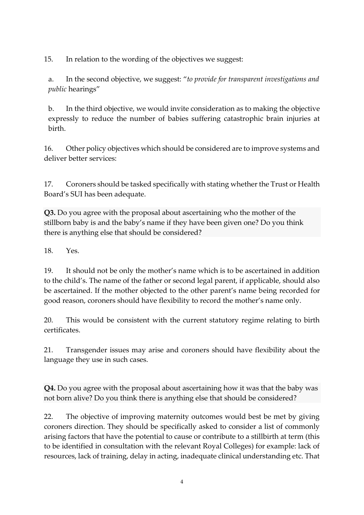15. In relation to the wording of the objectives we suggest:

a. In the second objective, we suggest: "*to provide for transparent investigations and public* hearings"

b. In the third objective, we would invite consideration as to making the objective expressly to reduce the number of babies suffering catastrophic brain injuries at birth.

16. Other policy objectives which should be considered are to improve systems and deliver better services:

17. Coroners should be tasked specifically with stating whether the Trust or Health Board's SUI has been adequate.

**Q3.** Do you agree with the proposal about ascertaining who the mother of the stillborn baby is and the baby's name if they have been given one? Do you think there is anything else that should be considered?

18. Yes.

19. It should not be only the mother's name which is to be ascertained in addition to the child's. The name of the father or second legal parent, if applicable, should also be ascertained. If the mother objected to the other parent's name being recorded for good reason, coroners should have flexibility to record the mother's name only.

20. This would be consistent with the current statutory regime relating to birth certificates.

21. Transgender issues may arise and coroners should have flexibility about the language they use in such cases.

**Q4.** Do you agree with the proposal about ascertaining how it was that the baby was not born alive? Do you think there is anything else that should be considered?

22. The objective of improving maternity outcomes would best be met by giving coroners direction. They should be specifically asked to consider a list of commonly arising factors that have the potential to cause or contribute to a stillbirth at term (this to be identified in consultation with the relevant Royal Colleges) for example: lack of resources, lack of training, delay in acting, inadequate clinical understanding etc. That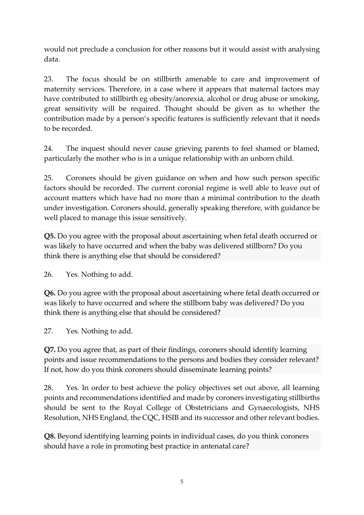would not preclude a conclusion for other reasons but it would assist with analysing data.

23. The focus should be on stillbirth amenable to care and improvement of maternity services. Therefore, in a case where it appears that maternal factors may have contributed to stillbirth eg obesity/anorexia, alcohol or drug abuse or smoking, great sensitivity will be required. Thought should be given as to whether the contribution made by a person's specific features is sufficiently relevant that it needs to be recorded.

24. The inquest should never cause grieving parents to feel shamed or blamed, particularly the mother who is in a unique relationship with an unborn child.

25. Coroners should be given guidance on when and how such person specific factors should be recorded. The current coronial regime is well able to leave out of account matters which have had no more than a minimal contribution to the death under investigation. Coroners should, generally speaking therefore, with guidance be well placed to manage this issue sensitively.

**Q5.** Do you agree with the proposal about ascertaining when fetal death occurred or was likely to have occurred and when the baby was delivered stillborn? Do you think there is anything else that should be considered?

26. Yes. Nothing to add.

**Q6.** Do you agree with the proposal about ascertaining where fetal death occurred or was likely to have occurred and where the stillborn baby was delivered? Do you think there is anything else that should be considered?

27. Yes. Nothing to add.

**Q7.** Do you agree that, as part of their findings, coroners should identify learning points and issue recommendations to the persons and bodies they consider relevant? If not, how do you think coroners should disseminate learning points?

28. Yes. In order to best achieve the policy objectives set out above, all learning points and recommendations identified and made by coroners investigating stillbirths should be sent to the Royal College of Obstetricians and Gynaecologists, NHS Resolution, NHS England, the CQC, HSIB and its successor and other relevant bodies.

**Q8.** Beyond identifying learning points in individual cases, do you think coroners should have a role in promoting best practice in antenatal care?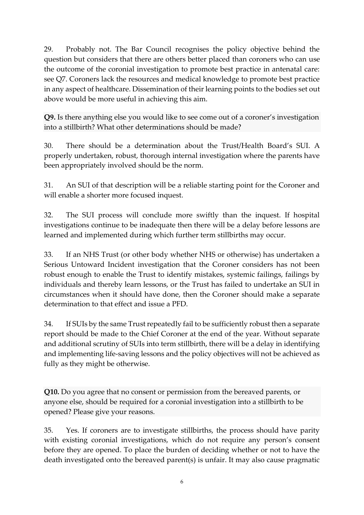29. Probably not. The Bar Council recognises the policy objective behind the question but considers that there are others better placed than coroners who can use the outcome of the coronial investigation to promote best practice in antenatal care: see Q7. Coroners lack the resources and medical knowledge to promote best practice in any aspect of healthcare. Dissemination of their learning points to the bodies set out above would be more useful in achieving this aim.

**Q9.** Is there anything else you would like to see come out of a coroner's investigation into a stillbirth? What other determinations should be made?

30. There should be a determination about the Trust/Health Board's SUI. A properly undertaken, robust, thorough internal investigation where the parents have been appropriately involved should be the norm.

31. An SUI of that description will be a reliable starting point for the Coroner and will enable a shorter more focused inquest.

32. The SUI process will conclude more swiftly than the inquest. If hospital investigations continue to be inadequate then there will be a delay before lessons are learned and implemented during which further term stillbirths may occur.

33. If an NHS Trust (or other body whether NHS or otherwise) has undertaken a Serious Untoward Incident investigation that the Coroner considers has not been robust enough to enable the Trust to identify mistakes, systemic failings, failings by individuals and thereby learn lessons, or the Trust has failed to undertake an SUI in circumstances when it should have done, then the Coroner should make a separate determination to that effect and issue a PFD.

34. If SUIs by the same Trust repeatedly fail to be sufficiently robust then a separate report should be made to the Chief Coroner at the end of the year. Without separate and additional scrutiny of SUIs into term stillbirth, there will be a delay in identifying and implementing life-saving lessons and the policy objectives will not be achieved as fully as they might be otherwise.

**Q10.** Do you agree that no consent or permission from the bereaved parents, or anyone else, should be required for a coronial investigation into a stillbirth to be opened? Please give your reasons.

35. Yes. If coroners are to investigate stillbirths, the process should have parity with existing coronial investigations, which do not require any person's consent before they are opened. To place the burden of deciding whether or not to have the death investigated onto the bereaved parent(s) is unfair. It may also cause pragmatic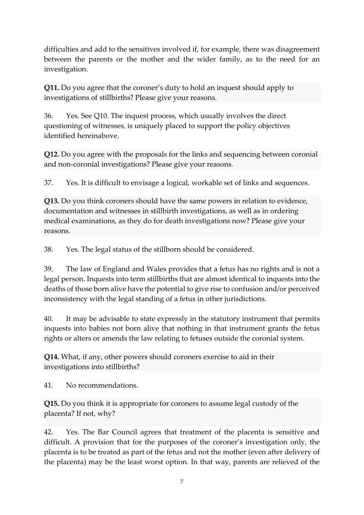difficulties and add to the sensitives involved if, for example, there was disagreement between the parents or the mother and the wider family, as to the need for an investigation.

**Q11.** Do you agree that the coroner's duty to hold an inquest should apply to investigations of stillbirths? Please give your reasons.

36. Yes. See Q10. The inquest process, which usually involves the direct questioning of witnesses, is uniquely placed to support the policy objectives identified hereinabove.

**Q12.** Do you agree with the proposals for the links and sequencing between coronial and non-coronial investigations? Please give your reasons.

37. Yes. It is difficult to envisage a logical, workable set of links and sequences.

**Q13.** Do you think coroners should have the same powers in relation to evidence, documentation and witnesses in stillbirth investigations, as well as in ordering medical examinations, as they do for death investigations now? Please give your reasons.

38. Yes. The legal status of the stillborn should be considered.

39. The law of England and Wales provides that a fetus has no rights and is not a legal person. Inquests into term stillbirths that are almost identical to inquests into the deaths of those born alive have the potential to give rise to confusion and/or perceived inconsistency with the legal standing of a fetus in other jurisdictions.

40. It may be advisable to state expressly in the statutory instrument that permits inquests into babies not born alive that nothing in that instrument grants the fetus rights or alters or amends the law relating to fetuses outside the coronial system.

**Q14.** What, if any, other powers should coroners exercise to aid in their investigations into stillbirths?

41. No recommendations.

**Q15.** Do you think it is appropriate for coroners to assume legal custody of the placenta? If not, why?

42. Yes. The Bar Council agrees that treatment of the placenta is sensitive and difficult. A provision that for the purposes of the coroner's investigation only, the placenta is to be treated as part of the fetus and not the mother (even after delivery of the placenta) may be the least worst option. In that way, parents are relieved of the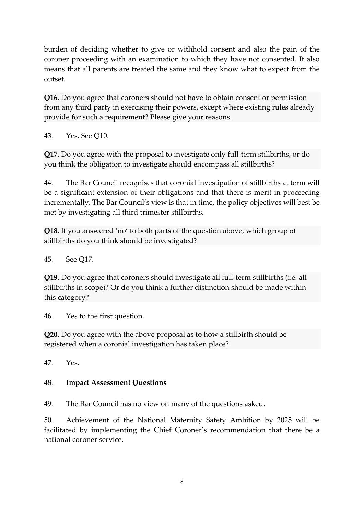burden of deciding whether to give or withhold consent and also the pain of the coroner proceeding with an examination to which they have not consented. It also means that all parents are treated the same and they know what to expect from the outset.

**Q16.** Do you agree that coroners should not have to obtain consent or permission from any third party in exercising their powers, except where existing rules already provide for such a requirement? Please give your reasons.

43. Yes. See Q10.

**Q17.** Do you agree with the proposal to investigate only full-term stillbirths, or do you think the obligation to investigate should encompass all stillbirths?

44. The Bar Council recognises that coronial investigation of stillbirths at term will be a significant extension of their obligations and that there is merit in proceeding incrementally. The Bar Council's view is that in time, the policy objectives will best be met by investigating all third trimester stillbirths.

**Q18.** If you answered 'no' to both parts of the question above, which group of stillbirths do you think should be investigated?

45. See Q17.

**Q19.** Do you agree that coroners should investigate all full-term stillbirths (i.e. all stillbirths in scope)? Or do you think a further distinction should be made within this category?

46. Yes to the first question.

**Q20.** Do you agree with the above proposal as to how a stillbirth should be registered when a coronial investigation has taken place?

 $47$  Yes

## 48. **Impact Assessment Questions**

49. The Bar Council has no view on many of the questions asked.

50. Achievement of the National Maternity Safety Ambition by 2025 will be facilitated by implementing the Chief Coroner's recommendation that there be a national coroner service.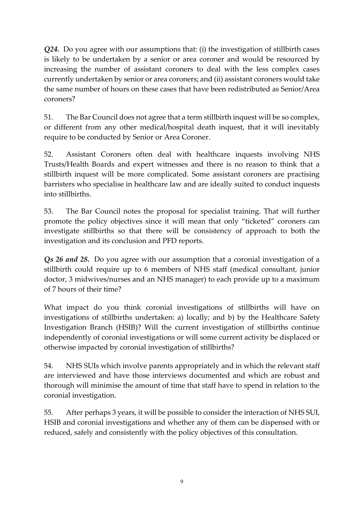*Q24.* Do you agree with our assumptions that: (i) the investigation of stillbirth cases is likely to be undertaken by a senior or area coroner and would be resourced by increasing the number of assistant coroners to deal with the less complex cases currently undertaken by senior or area coroners; and (ii) assistant coroners would take the same number of hours on these cases that have been redistributed as Senior/Area coroners?

51. The Bar Council does not agree that a term stillbirth inquest will be so complex, or different from any other medical/hospital death inquest, that it will inevitably require to be conducted by Senior or Area Coroner.

52. Assistant Coroners often deal with healthcare inquests involving NHS Trusts/Health Boards and expert witnesses and there is no reason to think that a stillbirth inquest will be more complicated. Some assistant coroners are practising barristers who specialise in healthcare law and are ideally suited to conduct inquests into stillbirths.

53. The Bar Council notes the proposal for specialist training. That will further promote the policy objectives since it will mean that only "ticketed" coroners can investigate stillbirths so that there will be consistency of approach to both the investigation and its conclusion and PFD reports.

*Qs 26 and 28.* Do you agree with our assumption that a coronial investigation of a stillbirth could require up to 6 members of NHS staff (medical consultant, junior doctor, 3 midwives/nurses and an NHS manager) to each provide up to a maximum of 7 hours of their time?

What impact do you think coronial investigations of stillbirths will have on investigations of stillbirths undertaken: a) locally; and b) by the Healthcare Safety Investigation Branch (HSIB)? Will the current investigation of stillbirths continue independently of coronial investigations or will some current activity be displaced or otherwise impacted by coronial investigation of stillbirths?

54. NHS SUIs which involve parents appropriately and in which the relevant staff are interviewed and have those interviews documented and which are robust and thorough will minimise the amount of time that staff have to spend in relation to the coronial investigation.

55. After perhaps 3 years, it will be possible to consider the interaction of NHS SUI, HSIB and coronial investigations and whether any of them can be dispensed with or reduced, safely and consistently with the policy objectives of this consultation.